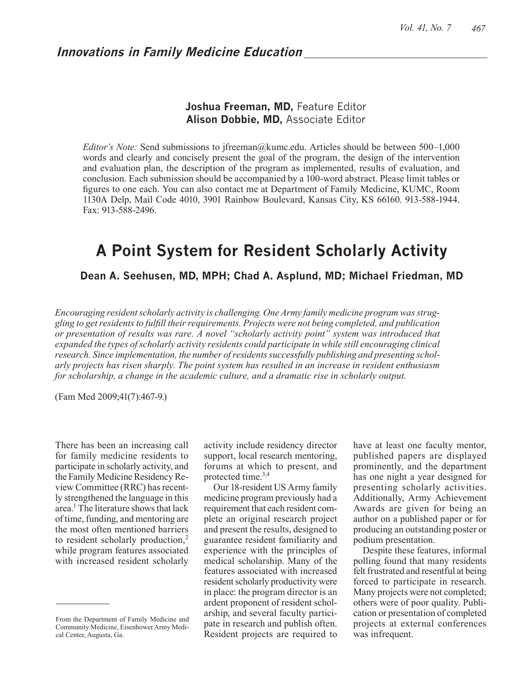## **Innovations in Family Medicine Education**

## **Joshua Freeman, MD,** Feature Editor **Alison Dobbie, MD,** Associate Editor

*Editor's Note:* Send submissions to jfreeman@kumc.edu. Articles should be between 500–1,000 words and clearly and concisely present the goal of the program, the design of the intervention and evaluation plan, the description of the program as implemented, results of evaluation, and conclusion. Each submission should be accompanied by a 100-word abstract. Please limit tables or figures to one each. You can also contact me at Department of Family Medicine, KUMC, Room 1130A Delp, Mail Code 4010, 3901 Rainbow Boulevard, Kansas City, KS 66160. 913-588-1944. Fax: 913-588-2496.

# **A Point System for Resident Scholarly Activity**

### **Dean A. Seehusen, MD, MPH; Chad A. Asplund, MD; Michael Friedman, MD**

*Encouraging resident scholarly activity is challenging. One Army family medicine program was struggling to get residents to fulfill their requirements. Projects were not being completed, and publication or presentation of results was rare. A novel "scholarly activity point" system was introduced that expanded the types of scholarly activity residents could participate in while still encouraging clinical research. Since implementation, the number of residents successfully publishing and presenting scholarly projects has risen sharply. The point system has resulted in an increase in resident enthusiasm for scholarship, a change in the academic culture, and a dramatic rise in scholarly output.*

(Fam Med 2009;41(7):467-9.)

There has been an increasing call for family medicine residents to participate in scholarly activity, and the Family Medicine Residency Review Committee (RRC) has recently strengthened the language in this area.1 The literature shows that lack of time, funding, and mentoring are the most often mentioned barriers to resident scholarly production,<sup>2</sup> while program features associated with increased resident scholarly

activity include residency director support, local research mentoring, forums at which to present, and protected time.3,4

Our 18-resident US Army family medicine program previously had a requirement that each resident complete an original research project and present the results, designed to guarantee resident familiarity and experience with the principles of medical scholarship. Many of the features associated with increased resident scholarly productivity were in place: the program director is an ardent proponent of resident scholarship, and several faculty participate in research and publish often. Resident projects are required to have at least one faculty mentor, published papers are displayed prominently, and the department has one night a year designed for presenting scholarly activities. Additionally, Army Achievement Awards are given for being an author on a published paper or for producing an outstanding poster or podium presentation.

Despite these features, informal polling found that many residents felt frustrated and resentful at being forced to participate in research. Many projects were not completed; others were of poor quality. Publication or presentation of completed projects at external conferences was infrequent.

From the Department of Family Medicine and Community Medicine, Eisenhower Army Medical Center, Augusta, Ga.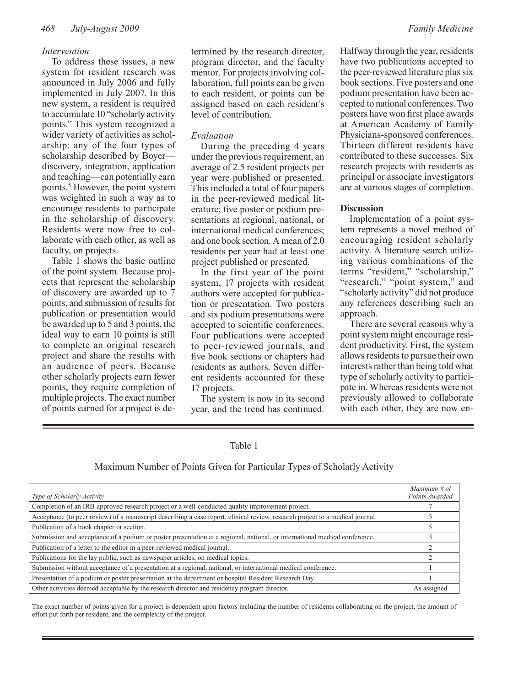#### *Intervention*

To address these issues, a new system for resident research was announced in July 2006 and fully implemented in July 2007. In this new system, a resident is required to accumulate 10 "scholarly activity points." This system recognized a wider variety of activities as scholarship; any of the four types of scholarship described by Boyer discovery, integration, application and teaching—can potentially earn points.<sup>5</sup> However, the point system was weighted in such a way as to encourage residents to participate in the scholarship of discovery. Residents were now free to collaborate with each other, as well as faculty, on projects.

Table 1 shows the basic outline of the point system. Because projects that represent the scholarship of discovery are awarded up to 7 points, and submission of results for publication or presentation would be awarded up to 5 and 3 points, the ideal way to earn 10 points is still to complete an original research project and share the results with an audience of peers. Because other scholarly projects earn fewer points, they require completion of multiple projects. The exact number of points earned for a project is de-

termined by the research director, program director, and the faculty mentor. For projects involving collaboration, full points can be given to each resident, or points can be assigned based on each resident's level of contribution.

#### *Evaluation*

During the preceding 4 years under the previous requirement, an average of 2.5 resident projects per year were published or presented. This included a total of four papers in the peer-reviewed medical literature; five poster or podium presentations at regional, national, or international medical conferences; and one book section. A mean of 2.0 residents per year had at least one project published or presented.

In the first year of the point system, 17 projects with resident authors were accepted for publication or presentation. Two posters and six podium presentations were accepted to scientific conferences. Four publications were accepted to peer-reviewed journals, and five book sections or chapters had residents as authors. Seven different residents accounted for these 17 projects.

The system is now in its second year, and the trend has continued.

Halfway through the year, residents have two publications accepted to the peer-reviewed literature plus six book sections. Five posters and one podium presentation have been accepted to national conferences. Two posters have won first place awards at American Academy of Family Physicians-sponsored conferences. Thirteen different residents have contributed to these successes. Six research projects with residents as principal or associate investigators are at various stages of completion.

#### **Discussion**

Implementation of a point system represents a novel method of encouraging resident scholarly activity. A literature search utilizing various combinations of the terms "resident," "scholarship," "research," "point system," and "scholarly activity" did not produce any references describing such an approach.

There are several reasons why a point system might encourage resident productivity. First, the system allows residents to pursue their own interests rather than being told what type of scholarly activity to participate in. Whereas residents were not previously allowed to collaborate with each other, they are now en-

#### Table 1

Maximum Number of Points Given for Particular Types of Scholarly Activity

| Type of Scholarly Activity                                                                                                    | Maximum # of<br>Points Awarded |
|-------------------------------------------------------------------------------------------------------------------------------|--------------------------------|
| Completion of an IRB-approved research project or a well-conducted quality improvement project.                               |                                |
| Acceptance (to peer review) of a manuscript describing a case report, clinical review, research project to a medical journal. |                                |
| Publication of a book chapter or section.                                                                                     |                                |
| Submission and acceptance of a podium or poster presentation at a regional, national, or international medical conference.    |                                |
| Publication of a letter to the editor in a peer-reviewed medical journal.                                                     |                                |
| Publications for the lay public, such as newspaper articles, on medical topics.                                               |                                |
| Submission without acceptance of a presentation at a regional, national, or international medical conference.                 |                                |
| Presentation of a podium or poster presentation at the department or hospital Resident Research Day.                          |                                |
| Other activities deemed acceptable by the research director and residency program director.                                   | As assigned                    |

The exact number of points given for a project is dependent upon factors including the number of residents collaborating on the project, the amount of effort put forth per resident, and the complexity of the project.